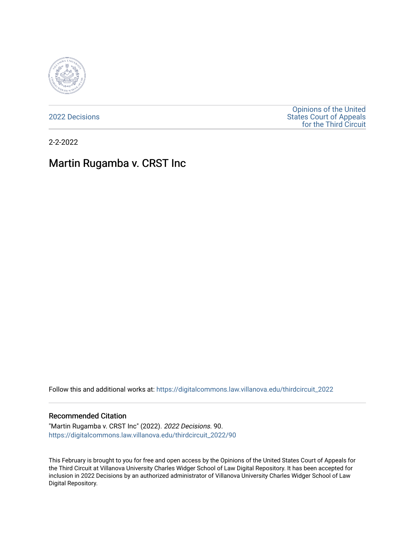

[2022 Decisions](https://digitalcommons.law.villanova.edu/thirdcircuit_2022)

[Opinions of the United](https://digitalcommons.law.villanova.edu/thirdcircuit)  [States Court of Appeals](https://digitalcommons.law.villanova.edu/thirdcircuit)  [for the Third Circuit](https://digitalcommons.law.villanova.edu/thirdcircuit) 

2-2-2022

# Martin Rugamba v. CRST Inc

Follow this and additional works at: [https://digitalcommons.law.villanova.edu/thirdcircuit\\_2022](https://digitalcommons.law.villanova.edu/thirdcircuit_2022?utm_source=digitalcommons.law.villanova.edu%2Fthirdcircuit_2022%2F90&utm_medium=PDF&utm_campaign=PDFCoverPages) 

#### Recommended Citation

"Martin Rugamba v. CRST Inc" (2022). 2022 Decisions. 90. [https://digitalcommons.law.villanova.edu/thirdcircuit\\_2022/90](https://digitalcommons.law.villanova.edu/thirdcircuit_2022/90?utm_source=digitalcommons.law.villanova.edu%2Fthirdcircuit_2022%2F90&utm_medium=PDF&utm_campaign=PDFCoverPages)

This February is brought to you for free and open access by the Opinions of the United States Court of Appeals for the Third Circuit at Villanova University Charles Widger School of Law Digital Repository. It has been accepted for inclusion in 2022 Decisions by an authorized administrator of Villanova University Charles Widger School of Law Digital Repository.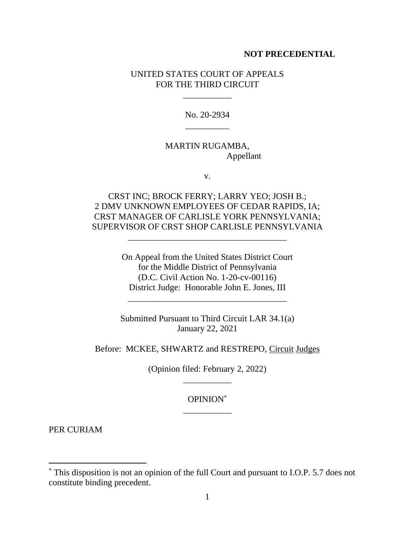#### **NOT PRECEDENTIAL**

### UNITED STATES COURT OF APPEALS FOR THE THIRD CIRCUIT

\_\_\_\_\_\_\_\_\_\_\_

No. 20-2934 \_\_\_\_\_\_\_\_\_\_

## MARTIN RUGAMBA, Appellant

v.

CRST INC; BROCK FERRY; LARRY YEO; JOSH B.; 2 DMV UNKNOWN EMPLOYEES OF CEDAR RAPIDS, IA; CRST MANAGER OF CARLISLE YORK PENNSYLVANIA; SUPERVISOR OF CRST SHOP CARLISLE PENNSYLVANIA

\_\_\_\_\_\_\_\_\_\_\_\_\_\_\_\_\_\_\_\_\_\_\_\_\_\_\_\_\_\_\_\_\_\_\_\_

On Appeal from the United States District Court for the Middle District of Pennsylvania (D.C. Civil Action No. 1-20-cv-00116) District Judge: Honorable John E. Jones, III

Submitted Pursuant to Third Circuit LAR 34.1(a) January 22, 2021

\_\_\_\_\_\_\_\_\_\_\_\_\_\_\_\_\_\_\_\_\_\_\_\_\_\_\_\_\_\_\_\_\_\_\_\_

Before: MCKEE, SHWARTZ and RESTREPO, Circuit Judges

(Opinion filed: February 2, 2022) \_\_\_\_\_\_\_\_\_\_\_

> OPINION\* \_\_\_\_\_\_\_\_\_\_\_

PER CURIAM

<sup>\*</sup> This disposition is not an opinion of the full Court and pursuant to I.O.P. 5.7 does not constitute binding precedent.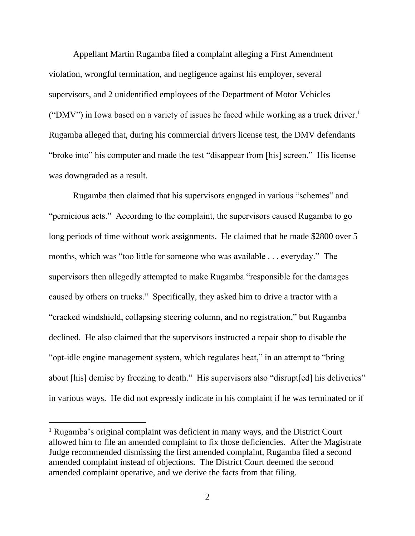Appellant Martin Rugamba filed a complaint alleging a First Amendment violation, wrongful termination, and negligence against his employer, several supervisors, and 2 unidentified employees of the Department of Motor Vehicles ("DMV") in Iowa based on a variety of issues he faced while working as a truck driver.<sup>1</sup> Rugamba alleged that, during his commercial drivers license test, the DMV defendants "broke into" his computer and made the test "disappear from [his] screen." His license was downgraded as a result.

Rugamba then claimed that his supervisors engaged in various "schemes" and "pernicious acts." According to the complaint, the supervisors caused Rugamba to go long periods of time without work assignments. He claimed that he made \$2800 over 5 months, which was "too little for someone who was available . . . everyday." The supervisors then allegedly attempted to make Rugamba "responsible for the damages caused by others on trucks." Specifically, they asked him to drive a tractor with a "cracked windshield, collapsing steering column, and no registration," but Rugamba declined. He also claimed that the supervisors instructed a repair shop to disable the "opt-idle engine management system, which regulates heat," in an attempt to "bring about [his] demise by freezing to death." His supervisors also "disrupt [ed] his deliveries" in various ways. He did not expressly indicate in his complaint if he was terminated or if

<sup>1</sup> Rugamba's original complaint was deficient in many ways, and the District Court allowed him to file an amended complaint to fix those deficiencies. After the Magistrate Judge recommended dismissing the first amended complaint, Rugamba filed a second amended complaint instead of objections. The District Court deemed the second amended complaint operative, and we derive the facts from that filing.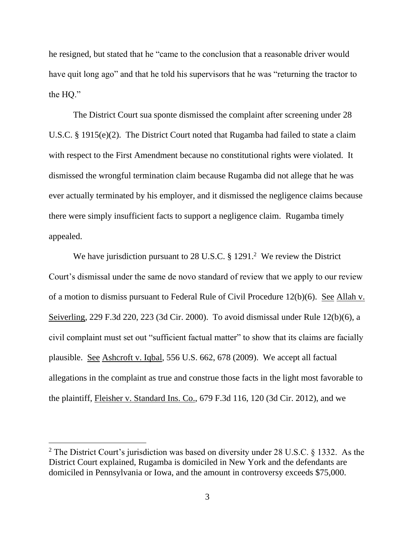he resigned, but stated that he "came to the conclusion that a reasonable driver would have quit long ago" and that he told his supervisors that he was "returning the tractor to the HQ."

The District Court sua sponte dismissed the complaint after screening under 28 U.S.C. § 1915(e)(2). The District Court noted that Rugamba had failed to state a claim with respect to the First Amendment because no constitutional rights were violated. It dismissed the wrongful termination claim because Rugamba did not allege that he was ever actually terminated by his employer, and it dismissed the negligence claims because there were simply insufficient facts to support a negligence claim. Rugamba timely appealed.

We have jurisdiction pursuant to 28 U.S.C.  $\S$  1291.<sup>2</sup> We review the District Court's dismissal under the same de novo standard of review that we apply to our review of a motion to dismiss pursuant to Federal Rule of Civil Procedure  $12(b)(6)$ . See Allah v. Seiverling, 229 F.3d 220, 223 (3d Cir. 2000). To avoid dismissal under Rule 12(b)(6), a civil complaint must set out "sufficient factual matter" to show that its claims are facially plausible. See Ashcroft v. Iqbal, 556 U.S. 662, 678 (2009). We accept all factual allegations in the complaint as true and construe those facts in the light most favorable to the plaintiff, Fleisher v. Standard Ins. Co., 679 F.3d 116, 120 (3d Cir. 2012), and we

<sup>&</sup>lt;sup>2</sup> The District Court's jurisdiction was based on diversity under 28 U.S.C.  $\frac{1332}{1332}$ . As the District Court explained, Rugamba is domiciled in New York and the defendants are domiciled in Pennsylvania or Iowa, and the amount in controversy exceeds \$75,000.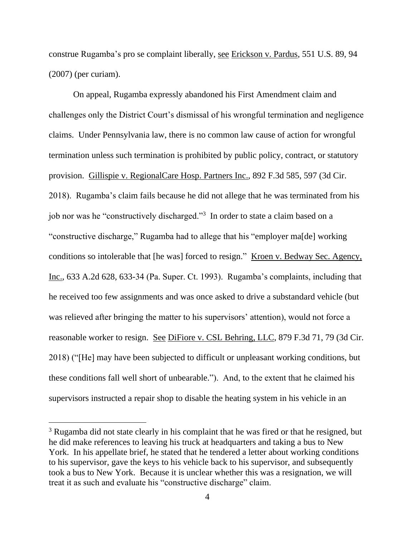construe Rugamba's pro se complaint liberally, see Erickson v. Pardus, 551 U.S. 89, 94 (2007) (per curiam).

On appeal, Rugamba expressly abandoned his First Amendment claim and challenges only the District Court's dismissal of his wrongful termination and negligence claims. Under Pennsylvania law, there is no common law cause of action for wrongful termination unless such termination is prohibited by public policy, contract, or statutory provision. Gillispie v. RegionalCare Hosp. Partners Inc., 892 F.3d 585, 597 (3d Cir. 2018). Rugamba's claim fails because he did not allege that he was terminated from his job nor was he "constructively discharged."<sup>3</sup> In order to state a claim based on a "constructive discharge," Rugamba had to allege that his "employer ma[de] working conditions so intolerable that [he was] forced to resign." Kroen v. Bedway Sec. Agency, Inc., 633 A.2d 628, 633-34 (Pa. Super. Ct. 1993). Rugamba's complaints, including that he received too few assignments and was once asked to drive a substandard vehicle (but was relieved after bringing the matter to his supervisors' attention), would not force a reasonable worker to resign. See DiFiore v. CSL Behring, LLC, 879 F.3d 71, 79 (3d Cir. 2018) ("[He] may have been subjected to difficult or unpleasant working conditions, but these conditions fall well short of unbearable."). And, to the extent that he claimed his supervisors instructed a repair shop to disable the heating system in his vehicle in an

<sup>&</sup>lt;sup>3</sup> Rugamba did not state clearly in his complaint that he was fired or that he resigned, but he did make references to leaving his truck at headquarters and taking a bus to New York. In his appellate brief, he stated that he tendered a letter about working conditions to his supervisor, gave the keys to his vehicle back to his supervisor, and subsequently took a bus to New York. Because it is unclear whether this was a resignation, we will treat it as such and evaluate his "constructive discharge" claim.